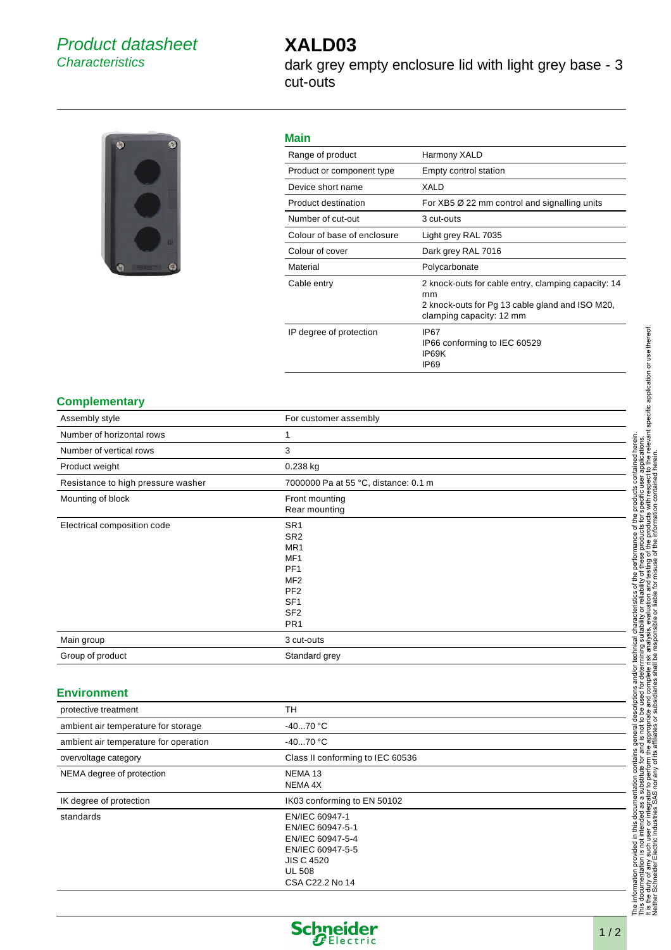# Product datasheet **Characteristics**

# **XALD03**

dark grey empty enclosure lid with light grey base - 3 cut-outs



## **Main**

| .                           |                                                                                                                                          |  |
|-----------------------------|------------------------------------------------------------------------------------------------------------------------------------------|--|
| Range of product            | Harmony XALD                                                                                                                             |  |
| Product or component type   | Empty control station                                                                                                                    |  |
| Device short name           | XALD                                                                                                                                     |  |
| Product destination         | For $XB5 \varnothing 22$ mm control and signalling units                                                                                 |  |
| Number of cut-out           | 3 cut-outs                                                                                                                               |  |
| Colour of base of enclosure | Light grey RAL 7035                                                                                                                      |  |
| Colour of cover             | Dark grey RAL 7016                                                                                                                       |  |
|                             |                                                                                                                                          |  |
| Material                    | Polycarbonate                                                                                                                            |  |
| Cable entry                 | 2 knock-outs for cable entry, clamping capacity: 14<br>mm<br>2 knock-outs for Pg 13 cable gland and ISO M20,<br>clamping capacity: 12 mm |  |
| IP degree of protection     | IP <sub>67</sub><br>IP66 conforming to IEC 60529<br>IP69K<br>IP <sub>69</sub>                                                            |  |

#### **Complementary**

| For customer assembly                                                                                                                                                          |
|--------------------------------------------------------------------------------------------------------------------------------------------------------------------------------|
|                                                                                                                                                                                |
| 3                                                                                                                                                                              |
| 0.238 kg                                                                                                                                                                       |
| 7000000 Pa at 55 °C, distance: 0.1 m                                                                                                                                           |
| Front mounting<br>Rear mounting                                                                                                                                                |
| SR <sub>1</sub><br>SR <sub>2</sub><br>MR1<br>MF <sub>1</sub><br>PF <sub>1</sub><br>MF <sub>2</sub><br>PF <sub>2</sub><br>SF <sub>1</sub><br>SF <sub>2</sub><br>PR <sub>1</sub> |
| 3 cut-outs                                                                                                                                                                     |
| Standard grey                                                                                                                                                                  |
|                                                                                                                                                                                |

## **Environment**

| protective treatment                  | TH                                                                                                                                  |
|---------------------------------------|-------------------------------------------------------------------------------------------------------------------------------------|
| ambient air temperature for storage   | $-4070 °C$                                                                                                                          |
| ambient air temperature for operation | $-4070 °C$                                                                                                                          |
| overvoltage category                  | Class II conforming to IEC 60536                                                                                                    |
| NEMA degree of protection             | NEMA <sub>13</sub><br>NEMA 4X                                                                                                       |
| IK degree of protection               | IK03 conforming to EN 50102                                                                                                         |
| standards                             | EN/IEC 60947-1<br>EN/IEC 60947-5-1<br>EN/IEC 60947-5-4<br>EN/IEC 60947-5-5<br><b>JIS C 4520</b><br><b>UL 508</b><br>CSA C22.2 No 14 |